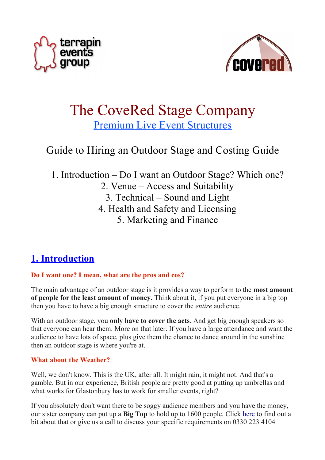



# The CoveRed Stage Company Premium Live Event Structures

# Guide to Hiring an Outdoor Stage and Costing Guide

1. Introduction – Do I want an Outdoor Stage? Which one? 2. Venue – Access and Suitability 3. Technical – Sound and Light 4. Health and Safety and Licensing 5. Marketing and Finance

# **1. Introduction**

## **Do I want one? I mean, what are the pros and cos?**

The main advantage of an outdoor stage is it provides a way to perform to the **most amount of people for the least amount of money.** Think about it, if you put everyone in a big top then you have to have a big enough structure to cover the *entire* audience.

With an outdoor stage, you **only have to cover the acts**. And get big enough speakers so that everyone can hear them. More on that later. If you have a large attendance and want the audience to have lots of space, plus give them the chance to dance around in the sunshine then an outdoor stage is where you're at.

## **What about the Weather?**

Well, we don't know. This is the UK, after all. It might rain, it might not. And that's a gamble. But in our experience, British people are pretty good at putting up umbrellas and what works for Glastonbury has to work for smaller events, right?

If you absolutely don't want there to be soggy audience members and you have the money, our sister company can put up a **Big Top** to hold up to 1600 people. Click [here](http://www.terrapintents.net/) to find out a bit about that or give us a call to discuss your specific requirements on 0330 223 4104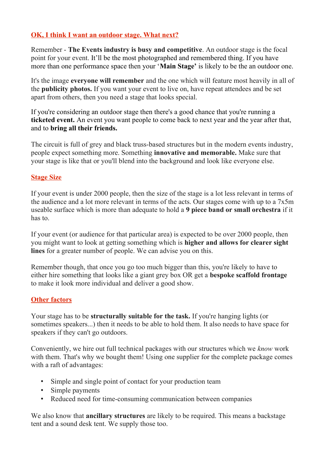## **OK, I think I want an outdoor stage. What next?**

Remember - **The Events industry is busy and competitive**. An outdoor stage is the focal point for your event. It'll be the most photographed and remembered thing. If you have more than one performance space then your '**Main Stage'** is likely to be the an outdoor one.

It's the image **everyone will remember** and the one which will feature most heavily in all of the **publicity photos.** If you want your event to live on, have repeat attendees and be set apart from others, then you need a stage that looks special.

If you're considering an outdoor stage then there's a good chance that you're running a **ticketed event.** An event you want people to come back to next year and the year after that, and to **bring all their friends.** 

The circuit is full of grey and black truss-based structures but in the modern events industry, people expect something more. Something **innovative and memorable.** Make sure that your stage is like that or you'll blend into the background and look like everyone else.

## **Stage Size**

If your event is under 2000 people, then the size of the stage is a lot less relevant in terms of the audience and a lot more relevant in terms of the acts. Our stages come with up to a 7x5m useable surface which is more than adequate to hold a **9 piece band or small orchestra** if it has to.

If your event (or audience for that particular area) is expected to be over 2000 people, then you might want to look at getting something which is **higher and allows for clearer sight lines** for a greater number of people. We can advise you on this.

Remember though, that once you go too much bigger than this, you're likely to have to either hire something that looks like a giant grey box OR get a **bespoke scaffold frontage** to make it look more individual and deliver a good show.

## **Other factors**

Your stage has to be **structurally suitable for the task.** If you're hanging lights (or sometimes speakers...) then it needs to be able to hold them. It also needs to have space for speakers if they can't go outdoors.

Conveniently, we hire out full technical packages with our structures which we *know* work with them. That's why we bought them! Using one supplier for the complete package comes with a raft of advantages:

- Simple and single point of contact for your production team
- Simple payments
- Reduced need for time-consuming communication between companies

We also know that **ancillary structures** are likely to be required. This means a backstage tent and a sound desk tent. We supply those too.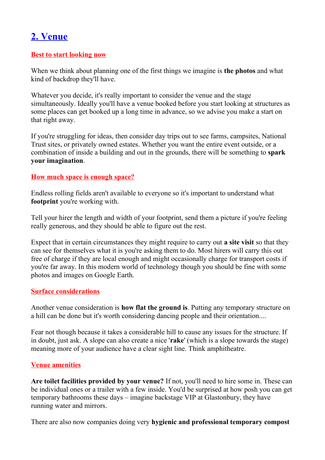# **2. Venue**

### **Best to start looking now**

When we think about planning one of the first things we imagine is **the photos** and what kind of backdrop they'll have.

Whatever you decide, it's really important to consider the venue and the stage simultaneously. Ideally you'll have a venue booked before you start looking at structures as some places can get booked up a long time in advance, so we advise you make a start on that right away.

If you're struggling for ideas, then consider day trips out to see farms, campsites, National Trust sites, or privately owned estates. Whether you want the entire event outside, or a combination of inside a building and out in the grounds, there will be something to **spark your imagination**.

### **How much space is enough space?**

Endless rolling fields aren't available to everyone so it's important to understand what **footprint** you're working with.

Tell your hirer the length and width of your footprint, send them a picture if you're feeling really generous, and they should be able to figure out the rest.

Expect that in certain circumstances they might require to carry out **a site visit** so that they can see for themselves what it is you're asking them to do. Most hirers will carry this out free of charge if they are local enough and might occasionally charge for transport costs if you're far away. In this modern world of technology though you should be fine with some photos and images on Google Earth.

### **Surface considerations**

Another venue consideration is **how flat the ground is**. Putting any temporary structure on a hill can be done but it's worth considering dancing people and their orientation....

Fear not though because it takes a considerable hill to cause any issues for the structure. If in doubt, just ask. A slope can also create a nice '**rake**' (which is a slope towards the stage) meaning more of your audience have a clear sight line. Think amphitheatre.

## **Venue amenities**

**Are toilet facilities provided by your venue?** If not, you'll need to hire some in. These can be individual ones or a trailer with a few inside. You'd be surprised at how posh you can get temporary bathrooms these days – imagine backstage VIP at Glastonbury, they have running water and mirrors.

There are also now companies doing very **hygienic and professional temporary compost**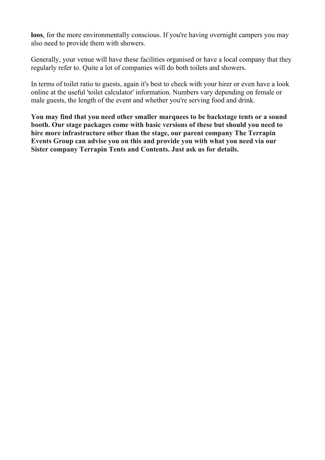**loos**, for the more environmentally conscious. If you're having overnight campers you may also need to provide them with showers.

Generally, your venue will have these facilities organised or have a local company that they regularly refer to. Quite a lot of companies will do both toilets and showers.

In terms of toilet ratio to guests, again it's best to check with your hirer or even have a look online at the useful 'toilet calculator' information. Numbers vary depending on female or male guests, the length of the event and whether you're serving food and drink.

**You may find that you need other smaller marquees to be backstage tents or a sound booth. Our stage packages come with basic versions of these but should you need to hire more infrastructure other than the stage, our parent company The Terrapin Events Group can advise you on this and provide you with what you need via our Sister company Terrapin Tents and Contents. Just ask us for details.**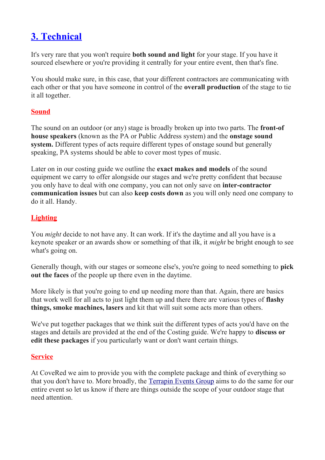# **3. Technical**

It's very rare that you won't require **both sound and light** for your stage. If you have it sourced elsewhere or you're providing it centrally for your entire event, then that's fine.

You should make sure, in this case, that your different contractors are communicating with each other or that you have someone in control of the **overall production** of the stage to tie it all together.

### **Sound**

The sound on an outdoor (or any) stage is broadly broken up into two parts. The **front-of house speakers** (known as the PA or Public Address system) and the **onstage sound system.** Different types of acts require different types of onstage sound but generally speaking, PA systems should be able to cover most types of music.

Later on in our costing guide we outline the **exact makes and models** of the sound equipment we carry to offer alongside our stages and we're pretty confident that because you only have to deal with one company, you can not only save on **inter-contractor communication issues** but can also **keep costs down** as you will only need one company to do it all. Handy.

## **Lighting**

You *might* decide to not have any. It can work. If it's the daytime and all you have is a keynote speaker or an awards show or something of that ilk, it *might* be bright enough to see what's going on.

Generally though, with our stages or someone else's, you're going to need something to **pick out the faces** of the people up there even in the daytime.

More likely is that you're going to end up needing more than that. Again, there are basics that work well for all acts to just light them up and there there are various types of **flashy things, smoke machines, lasers** and kit that will suit some acts more than others.

We've put together packages that we think suit the different types of acts you'd have on the stages and details are provided at the end of the Costing guide. We're happy to **discuss or edit these packages** if you particularly want or don't want certain things.

### **Service**

At CoveRed we aim to provide you with the complete package and think of everything so that you don't have to. More broadly, the [Terrapin Events Group](http://www.terrapinuk.net/) aims to do the same for our entire event so let us know if there are things outside the scope of your outdoor stage that need attention.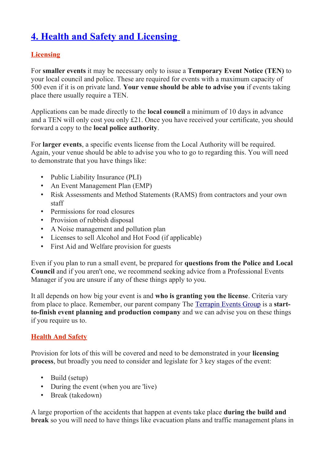# **4. Health and Safety and Licensing**

## **Licensing**

For **smaller events** it may be necessary only to issue a **Temporary Event Notice (TEN)** to your local council and police. These are required for events with a maximum capacity of 500 even if it is on private land. **Your venue should be able to advise you** if events taking place there usually require a TEN.

Applications can be made directly to the **local council** a minimum of 10 days in advance and a TEN will only cost you only £21. Once you have received your certificate, you should forward a copy to the **local police authority**.

For **larger events**, a specific events license from the Local Authority will be required. Again, your venue should be able to advise you who to go to regarding this. You will need to demonstrate that you have things like:

- Public Liability Insurance (PLI)
- An Event Management Plan (EMP)
- Risk Assessments and Method Statements (RAMS) from contractors and your own staff
- Permissions for road closures
- Provision of rubbish disposal
- A Noise management and pollution plan
- Licenses to sell Alcohol and Hot Food (if applicable)
- First Aid and Welfare provision for guests

Even if you plan to run a small event, be prepared for **questions from the Police and Local Council** and if you aren't one, we recommend seeking advice from a Professional Events Manager if you are unsure if any of these things apply to you.

It all depends on how big your event is and **who is granting you the license**. Criteria vary from place to place. Remember, our parent company The [Terrapin Events Group](http://www.terrapinuk.net/) is a **startto-finish event planning and production company** and we can advise you on these things if you require us to.

## **Health And Safety**

Provision for lots of this will be covered and need to be demonstrated in your **licensing process**, but broadly you need to consider and legislate for 3 key stages of the event:

- Build (setup)
- During the event (when you are 'live)
- Break (takedown)

A large proportion of the accidents that happen at events take place **during the build and break** so you will need to have things like evacuation plans and traffic management plans in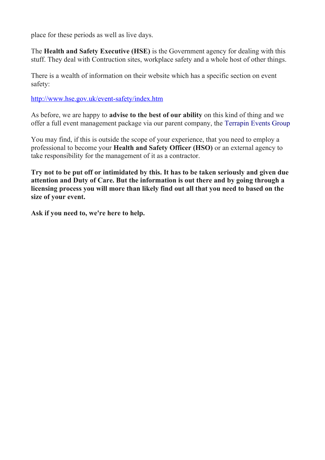place for these periods as well as live days.

The **Health and Safety Executive (HSE)** is the Government agency for dealing with this stuff. They deal with Contruction sites, workplace safety and a whole host of other things.

There is a wealth of information on their website which has a specific section on event safety:

<http://www.hse.gov.uk/event-safety/index.htm>

As before, we are happy to **advise to the best of our ability** on this kind of thing and we offer a full event management package via our parent company, the [Terrapin Events Group](http://www.terrapinuk.net/)

You may find, if this is outside the scope of your experience, that you need to employ a professional to become your **Health and Safety Officer (HSO)** or an external agency to take responsibility for the management of it as a contractor.

**Try not to be put off or intimidated by this. It has to be taken seriously and given due attention and Duty of Care. But the information is out there and by going through a licensing process you will more than likely find out all that you need to based on the size of your event.** 

**Ask if you need to, we're here to help.**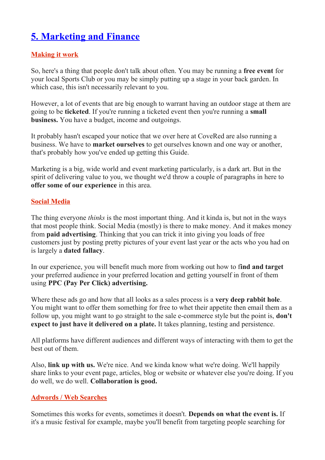# **5. Marketing and Finance**

## **Making it work**

So, here's a thing that people don't talk about often. You may be running a **free event** for your local Sports Club or you may be simply putting up a stage in your back garden. In which case, this isn't necessarily relevant to you.

However, a lot of events that are big enough to warrant having an outdoor stage at them are going to be **ticketed**. If you're running a ticketed event then you're running a **small business.** You have a budget, income and outgoings.

It probably hasn't escaped your notice that we over here at CoveRed are also running a business. We have to **market ourselves** to get ourselves known and one way or another, that's probably how you've ended up getting this Guide.

Marketing is a big, wide world and event marketing particularly, is a dark art. But in the spirit of delivering value to you, we thought we'd throw a couple of paragraphs in here to **offer some of our experience** in this area.

## **Social Media**

The thing everyone *thinks* is the most important thing. And it kinda is, but not in the ways that most people think. Social Media (mostly) is there to make money. And it makes money from **paid advertising**. Thinking that you can trick it into giving you loads of free customers just by posting pretty pictures of your event last year or the acts who you had on is largely a **dated fallacy**.

In our experience, you will benefit much more from working out how to f**ind and target** your preferred audience in your preferred location and getting yourself in front of them using **PPC (Pay Per Click) advertising.** 

Where these ads go and how that all looks as a sales process is a **very deep rabbit hole**. You might want to offer them something for free to whet their appetite then email them as a follow up, you might want to go straight to the sale e-commerce style but the point is, **don't expect to just have it delivered on a plate.** It takes planning, testing and persistence.

All platforms have different audiences and different ways of interacting with them to get the best out of them.

Also, **link up with us.** We're nice. And we kinda know what we're doing. We'll happily share links to your event page, articles, blog or website or whatever else you're doing. If you do well, we do well. **Collaboration is good.**

## **Adwords / Web Searches**

Sometimes this works for events, sometimes it doesn't. **Depends on what the event is.** If it's a music festival for example, maybe you'll benefit from targeting people searching for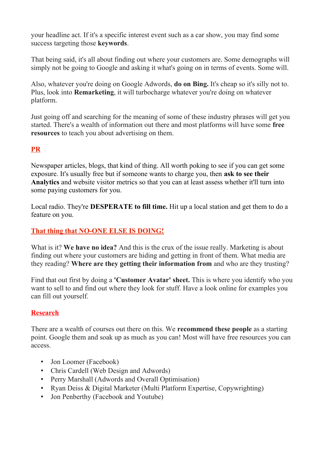your headline act. If it's a specific interest event such as a car show, you may find some success targeting those **keywords**.

That being said, it's all about finding out where your customers are. Some demographs will simply not be going to Google and asking it what's going on in terms of events. Some will.

Also, whatever you're doing on Google Adwords, **do on Bing.** It's cheap so it's silly not to. Plus, look into **Remarketing**, it will turbocharge whatever you're doing on whatever platform.

Just going off and searching for the meaning of some of these industry phrases will get you started. There's a wealth of information out there and most platforms will have some **free resources** to teach you about advertising on them.

## **PR**

Newspaper articles, blogs, that kind of thing. All worth poking to see if you can get some exposure. It's usually free but if someone wants to charge you, then **ask to see their Analytics** and website visitor metrics so that you can at least assess whether it'll turn into some paying customers for you.

Local radio. They're **DESPERATE to fill time.** Hit up a local station and get them to do a feature on you.

## **That thing that NO-ONE ELSE IS DOING!**

What is it? **We have no idea?** And this is the crux of the issue really. Marketing is about finding out where your customers are hiding and getting in front of them. What media are they reading? **Where are they getting their information from** and who are they trusting?

Find that out first by doing a **'Customer Avatar' sheet.** This is where you identify who you want to sell to and find out where they look for stuff. Have a look online for examples you can fill out yourself.

### **Research**

There are a wealth of courses out there on this. We **recommend these people** as a starting point. Google them and soak up as much as you can! Most will have free resources you can access.

- Jon Loomer (Facebook)
- Chris Cardell (Web Design and Adwords)
- Perry Marshall (Adwords and Overall Optimisation)
- Ryan Deiss & Digital Marketer (Multi Platform Expertise, Copywrighting)
- Jon Penberthy (Facebook and Youtube)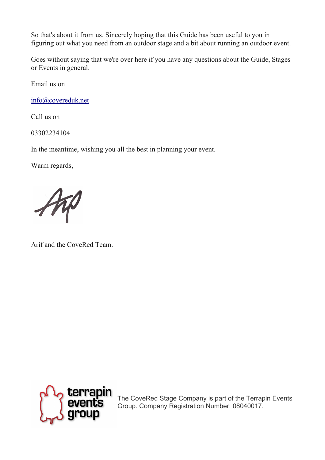So that's about it from us. Sincerely hoping that this Guide has been useful to you in figuring out what you need from an outdoor stage and a bit about running an outdoor event.

Goes without saying that we're over here if you have any questions about the Guide, Stages or Events in general.

Email us on

[info@covereduk.net](mailto:info@covereduk.net)

Call us on

03302234104

In the meantime, wishing you all the best in planning your event.

Warm regards,

Arif and the CoveRed Team.



The CoveRed Stage Company is part of the Terrapin Events Group. Company Registration Number: 08040017.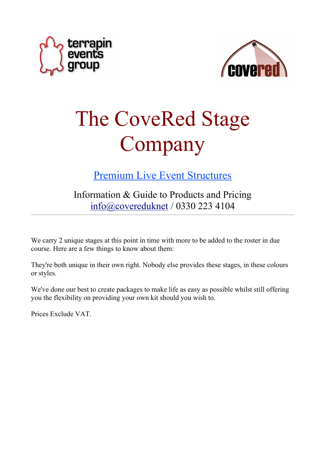



# The CoveRed Stage Company

Premium Live Event Structures

Information & Guide to Products and Pricing [info@covereduknet](mailto:info@covereduknet) / 0330 223 4104

We carry 2 unique stages at this point in time with more to be added to the roster in due course. Here are a few things to know about them:

They're both unique in their own right. Nobody else provides these stages, in these colours or styles.

We've done our best to create packages to make life as easy as possible whilst still offering you the flexibility on providing your own kit should you wish to.

Prices Exclude VAT.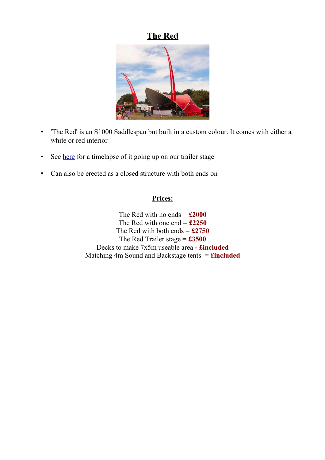## **The Red**



- 'The Red' is an S1000 Saddlespan but built in a custom colour. It comes with either a white or red interior
- See <u>here</u> for a timelapse of it going up on our trailer stage
- Can also be erected as a closed structure with both ends on

### **Prices:**

The Red with no ends  $=$  **£2000** The Red with one end  $=$   $£2250$ The Red with both ends = **£2750** The Red Trailer stage = **£3500** Decks to make 7x5m useable area **- £included** Matching 4m Sound and Backstage tents = **£included**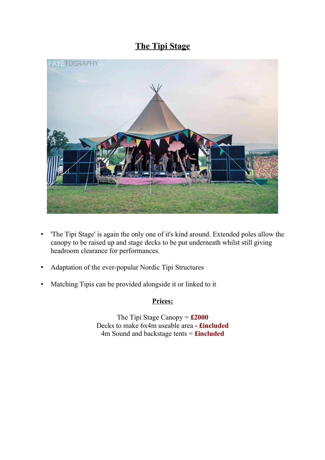## **The Tipi Stage**



- 'The Tipi Stage' is again the only one of it's kind around. Extended poles allow the canopy to be raised up and stage decks to be put underneath whilst still giving headroom clearance for performances.
- Adaptation of the ever-popular Nordic Tipi Structures
- Matching Tipis can be provided alongside it or linked to it

## **Prices:**

The Tipi Stage Canopy = **£2000** Decks to make 6x4m useable area **- £included** 4m Sound and backstage tents = **£included**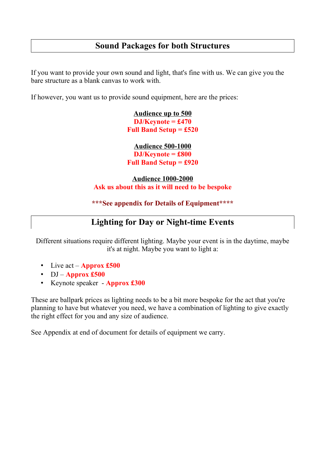## **Sound Packages for both Structures**

If you want to provide your own sound and light, that's fine with us. We can give you the bare structure as a blank canvas to work with.

If however, you want us to provide sound equipment, here are the prices:

**Audience up to 500 DJ/Keynote = £470 Full Band Setup = £520**

**Audience 500-1000 DJ/Keynote = £800 Full Band Setup = £920**

### **Audience 1000-2000 Ask us about this as it will need to be bespoke**

### **\*\*\*See appendix for Details of Equipment\*\*\*\***

## **Lighting for Day or Night-time Events**

Different situations require different lighting. Maybe your event is in the daytime, maybe it's at night. Maybe you want to light a:

- Live act **Approx £500**
- DJ **Approx £500**
- Keynote speaker **Approx £300**

These are ballpark prices as lighting needs to be a bit more bespoke for the act that you're planning to have but whatever you need, we have a combination of lighting to give exactly the right effect for you and any size of audience.

See Appendix at end of document for details of equipment we carry.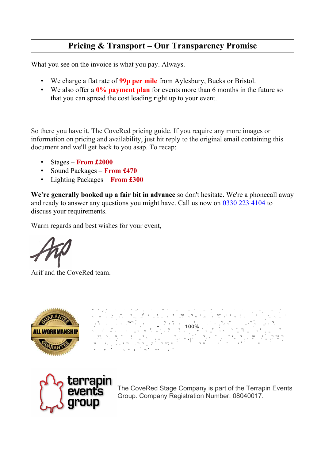## **Pricing & Transport – Our Transparency Promise**

What you see on the invoice is what you pay. Always.

- We charge a flat rate of **99p per mile** from Aylesbury, Bucks or Bristol.
- We also offer a **0% payment plan** for events more than 6 months in the future so that you can spread the cost leading right up to your event.

So there you have it. The CoveRed pricing guide. If you require any more images or information on pricing and availability, just hit reply to the original email containing this document and we'll get back to you asap. To recap:

- Stages **From £2000**
- Sound Packages **From £470**
- Lighting Packages **From £300**

**We're generally booked up a fair bit in advance** so don't hesitate. We're a phonecall away and ready to answer any questions you might have. Call us now on 0330 223 4104 to discuss your requirements.

Warm regards and best wishes for your event,

Arif and the CoveRed team.



W e se con p l e c o m p l e s tu r e s o n f o se con tu r e s s o f o se con tu r e s s o f o u r s o f o u<br>Vez tu r e s s o f o f o se con tu r e s o f o u r e s o f o u r e s o f o u r e s o f o u r e s o f o u r e s a n d o u r a b i l i l i d o u r a b i l i d o w n d o w n d o w n d o w n d o w n d o w n d o w n d o w n d<br>The most community of the most community of the most community of the most community of the most community of r e a s o n w e o f e r a n o -q u i b b l e 100% m o n e y b a c k g u a r a n te e o n a l e que i p m e n d o u r o vez da n d o u r o m e a t i f a n s th a t m e a n s th a t i f a n s th a n g<br>Tha t i f a t i f a n s t i f a n g a n s t i n g a n g a n y th i n g a n s t i f a t i f a n g a n s t i f a g o e s w r o e s w r o n g w i r e d i r e d f r o u g g w i r e d f r o u r e d f r o m u s , y o u r e t y<br>W w r o u g e m u w s y o u m w f r o u r e d i r e d i r e d i r e d i r e d i r e d i r e d i r e d i r e d m o n e y b a c k f o r i tro-se e .<br>S i tro-se e de . S i m p l e . S i m p l e . S i m p l e . S i m p l e . S i m p l e . S i m p l e . S i m p



The CoveRed Stage Company is part of the Terrapin Events Group. Company Registration Number: 08040017.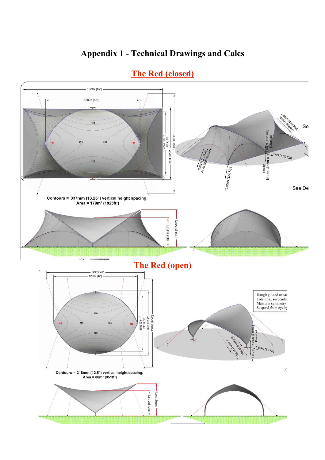## **Appendix 1 - Technical Drawings and Calcs**



## **The Red (closed)**